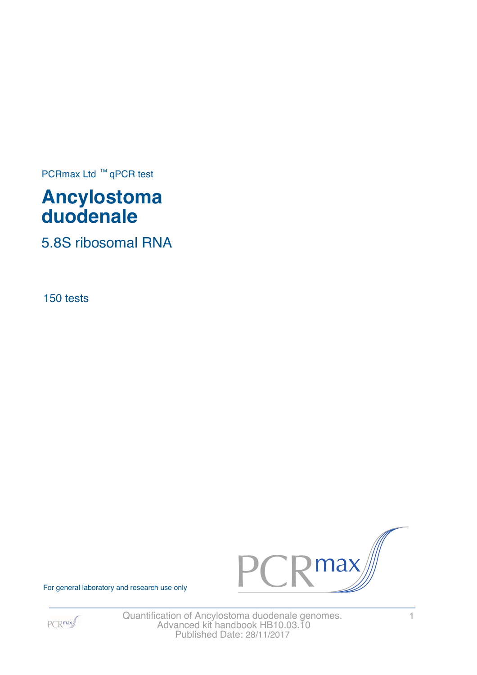PCRmax Ltd  $™$  qPCR test

# **Ancylostoma duodenale**

5.8S ribosomal RNA

150 tests



For general laboratory and research use only



Quantification of Ancylostoma duodenale genomes. 1 Advanced kit handbook HB10.03.10 Published Date: 28/11/2017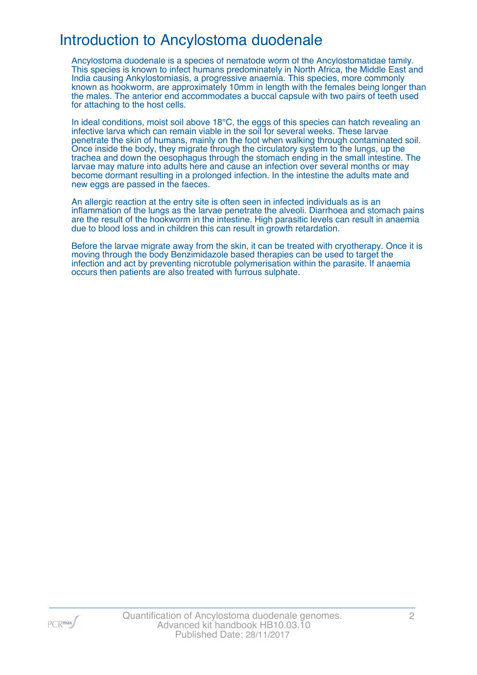### Introduction to Ancylostoma duodenale

Ancylostoma duodenale is a species of nematode worm of the Ancylostomatidae family. This species is known to infect humans predominately in North Africa, the Middle East and India causing Ankylostomiasis, a progressive anaemia. This species, more commonly known as hookworm, are approximately 10mm in length with the females being longer than the males. The anterior end accommodates a buccal capsule with two pairs of teeth used for attaching to the host cells.

In ideal conditions, moist soil above 18°C, the eggs of this species can hatch revealing an infective larva which can remain viable in the soil for several weeks. These larvae penetrate the skin of humans, mainly on the foot when walking through contaminated soil. Once inside the body, they migrate through the circulatory system to the lungs, up the trachea and down the oesophagus through the stomach ending in the small intestine. The larvae may mature into adults here and cause an infection over several months or may become dormant resulting in a prolonged infection. In the intestine the adults mate and new eggs are passed in the faeces.

An allergic reaction at the entry site is often seen in infected individuals as is an inflammation of the lungs as the larvae penetrate the alveoli. Diarrhoea and stomach pains are the result of the hookworm in the intestine. High parasitic levels can result in anaemia due to blood loss and in children this can result in growth retardation.

Before the larvae migrate away from the skin, it can be treated with cryotherapy. Once it is moving through the body Benzimidazole based therapies can be used to target the infection and act by preventing nicrotuble polymerisation within the parasite. If anaemia occurs then patients are also treated with furrous sulphate.

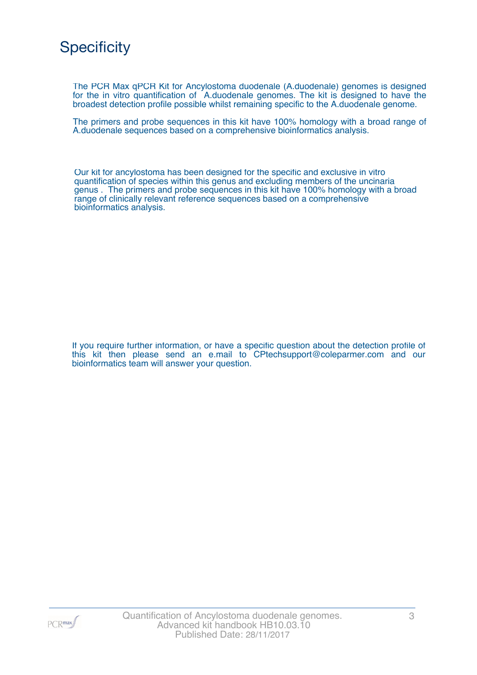## **Specificity**

The PCR Max qPCR Kit for Ancylostoma duodenale (A.duodenale) genomes is designed for the in vitro quantification of A.duodenale genomes. The kit is designed to have the broadest detection profile possible whilst remaining specific to the A.duodenale genome.

The primers and probe sequences in this kit have 100% homology with a broad range of A.duodenale sequences based on a comprehensive bioinformatics analysis.

Our kit for ancylostoma has been designed for the specific and exclusive in vitro quantification of species within this genus and excluding members of the uncinaria genus . The primers and probe sequences in this kit have 100% homology with a broad range of clinically relevant reference sequences based on a comprehensive bioinformatics analysis.

If you require further information, or have a specific question about the detection profile of this kit then please send an e.mail to CPtechsupport@coleparmer.com and our bioinformatics team will answer your question.

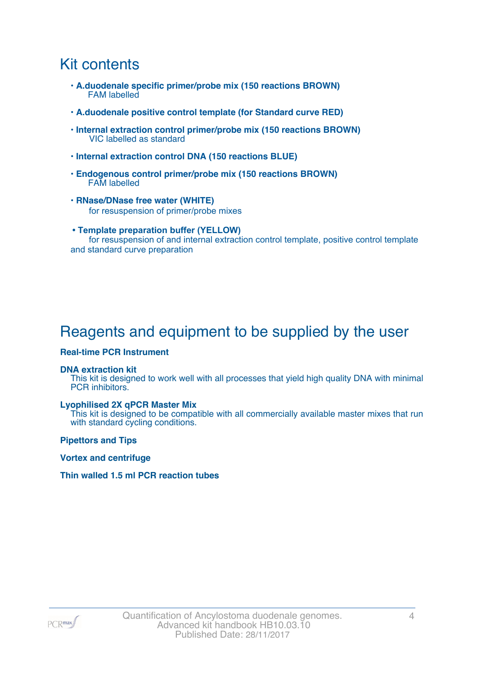### Kit contents

- **A.duodenale specific primer/probe mix (150 reactions BROWN)** FAM labelled
- **A.duodenale positive control template (for Standard curve RED)**
- **Internal extraction control primer/probe mix (150 reactions BROWN)** VIC labelled as standard
- **Internal extraction control DNA (150 reactions BLUE)**
- **Endogenous control primer/probe mix (150 reactions BROWN)** FAM labelled
- **RNase/DNase free water (WHITE)** for resuspension of primer/probe mixes
- **Template preparation buffer (YELLOW)** for resuspension of and internal extraction control template, positive control template and standard curve preparation

## Reagents and equipment to be supplied by the user

#### **Real-time PCR Instrument**

#### **DNA extraction kit**

This kit is designed to work well with all processes that yield high quality DNA with minimal PCR inhibitors.

#### **Lyophilised 2X qPCR Master Mix**

This kit is designed to be compatible with all commercially available master mixes that run with standard cycling conditions.

**Pipettors and Tips**

**Vortex and centrifuge**

#### **Thin walled 1.5 ml PCR reaction tubes**

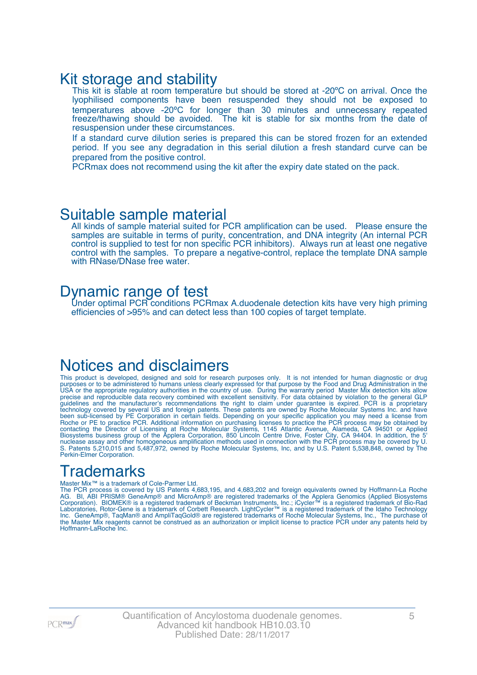### Kit storage and stability

This kit is stable at room temperature but should be stored at -20°C on arrival. Once the lyophilised components have been resuspended they should not be exposed to temperatures above -20ºC for longer than 30 minutes and unnecessary repeated freeze/thawing should be avoided. The kit is stable for six months from the date of resuspension under these circumstances.

If a standard curve dilution series is prepared this can be stored frozen for an extended period. If you see any degradation in this serial dilution a fresh standard curve can be prepared from the positive control.

PCRmax does not recommend using the kit after the expiry date stated on the pack.

### Suitable sample material

All kinds of sample material suited for PCR amplification can be used. Please ensure the samples are suitable in terms of purity, concentration, and DNA integrity (An internal PCR control is supplied to test for non specific PCR inhibitors). Always run at least one negative control with the samples. To prepare a negative-control, replace the template DNA sample with RNase/DNase free water.

### Dynamic range of test

Under optimal PCR conditions PCRmax A.duodenale detection kits have very high priming efficiencies of >95% and can detect less than 100 copies of target template.

### Notices and disclaimers

This product is developed, designed and sold for research purposes only. It is not intended for human diagnostic or drug purposes or to be administered to humans unless clearly expressed for that purpose by the Food and Drug Administration in the USA or the appropriate regulatory authorities in the country of use. During the warranty period Master Mix detection kits allow precise and reproducible data recovery combined with excellent sensitivity. For data obtained by violation to the general GLP guidelines and the manufacturer's recommendations the right to claim under guarantee is expired. PCR is a proprietary technology covered by several US and foreign patents. These patents are owned by Roche Molecular Systems Inc. and have been sub-licensed by PE Corporation in certain fields. Depending on your specific application you may need a license from Roche or PE to practice PCR. Additional information on purchasing licenses to practice the PCR process may be obtained by contacting the Director of Licensing at Roche Molecular Systems, 1145 Atlantic Avenue, Alameda, CA 94501 or Applied Biosystems business group of the Applera Corporation, 850 Lincoln Centre Drive, Foster City, CA 94404. In addition, the 5' nuclease assay and other homogeneous amplification methods used in connection with the PCR process may be covered by U. S. Patents 5,210,015 and 5,487,972, owned by Roche Molecular Systems, Inc, and by U.S. Patent 5,538,848, owned by The Perkin-Elmer Corporation.

### **Trademarks**

#### Master Mix™ is a trademark of Cole-Parmer Ltd.

The PCR process is covered by US Patents 4,683,195, and 4,683,202 and foreign equivalents owned by Hoffmann-La Roche AG. BI, ABI PRISM® GeneAmp® and MicroAmp® are registered trademarks of the Applera Genomics (Applied Biosystems Corporation). BIOMEK® is a registered trademark of Beckman Instruments, Inc.; iCycler™ is a registered trademark of Bio-Rad Laboratories, Rotor-Gene is a trademark of Corbett Research. LightCycler™ is a registered trademark of the Idaho Technology Inc. GeneAmp®, TaqMan® and AmpliTaqGold® are registered trademarks of Roche Molecular Systems, Inc., The purchase of the Master Mix reagents cannot be construed as an authorization or implicit license to practice PCR under any patents held by Hoffmann-LaRoche Inc.

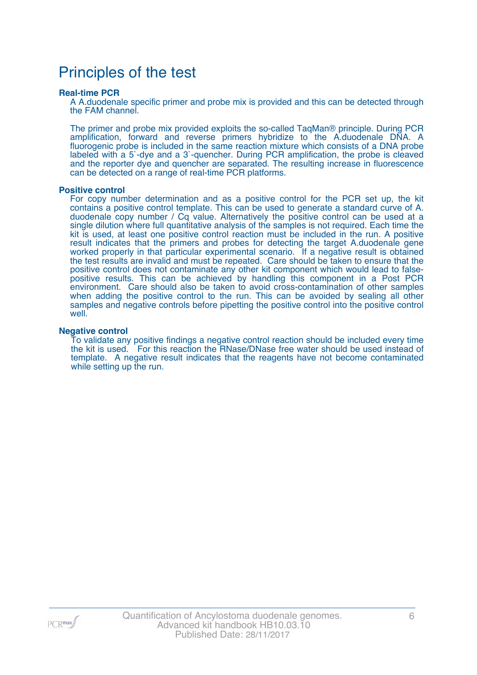## Principles of the test

#### **Real-time PCR**

A A.duodenale specific primer and probe mix is provided and this can be detected through the FAM channel.

The primer and probe mix provided exploits the so-called TaqMan® principle. During PCR amplification, forward and reverse primers hybridize to the A.duodenale DNA. A fluorogenic probe is included in the same reaction mixture which consists of a DNA probe labeled with a 5`-dye and a 3`-quencher. During PCR amplification, the probe is cleaved and the reporter dye and quencher are separated. The resulting increase in fluorescence can be detected on a range of real-time PCR platforms.

#### **Positive control**

For copy number determination and as a positive control for the PCR set up, the kit contains a positive control template. This can be used to generate a standard curve of A. duodenale copy number / Cq value. Alternatively the positive control can be used at a single dilution where full quantitative analysis of the samples is not required. Each time the kit is used, at least one positive control reaction must be included in the run. A positive result indicates that the primers and probes for detecting the target A.duodenale gene worked properly in that particular experimental scenario. If a negative result is obtained the test results are invalid and must be repeated. Care should be taken to ensure that the positive control does not contaminate any other kit component which would lead to falsepositive results. This can be achieved by handling this component in a Post PCR environment. Care should also be taken to avoid cross-contamination of other samples when adding the positive control to the run. This can be avoided by sealing all other samples and negative controls before pipetting the positive control into the positive control well.

#### **Negative control**

To validate any positive findings a negative control reaction should be included every time the kit is used. For this reaction the RNase/DNase free water should be used instead of template. A negative result indicates that the reagents have not become contaminated while setting up the run.

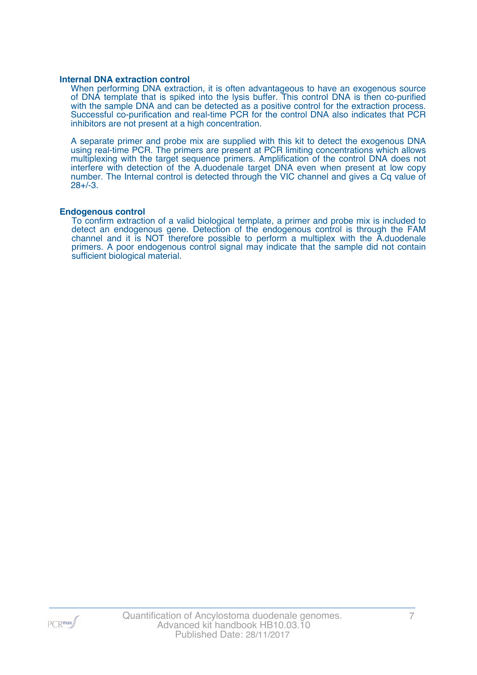#### **Internal DNA extraction control**

When performing DNA extraction, it is often advantageous to have an exogenous source of DNA template that is spiked into the lysis buffer. This control DNA is then co-purified with the sample DNA and can be detected as a positive control for the extraction process. Successful co-purification and real-time PCR for the control DNA also indicates that PCR inhibitors are not present at a high concentration.

A separate primer and probe mix are supplied with this kit to detect the exogenous DNA using real-time PCR. The primers are present at PCR limiting concentrations which allows multiplexing with the target sequence primers. Amplification of the control DNA does not interfere with detection of the A.duodenale target DNA even when present at low copy number. The Internal control is detected through the VIC channel and gives a Cq value of 28+/-3.

#### **Endogenous control**

To confirm extraction of a valid biological template, a primer and probe mix is included to detect an endogenous gene. Detection of the endogenous control is through the FAM channel and it is NOT therefore possible to perform a multiplex with the A.duodenale primers. A poor endogenous control signal may indicate that the sample did not contain sufficient biological material.

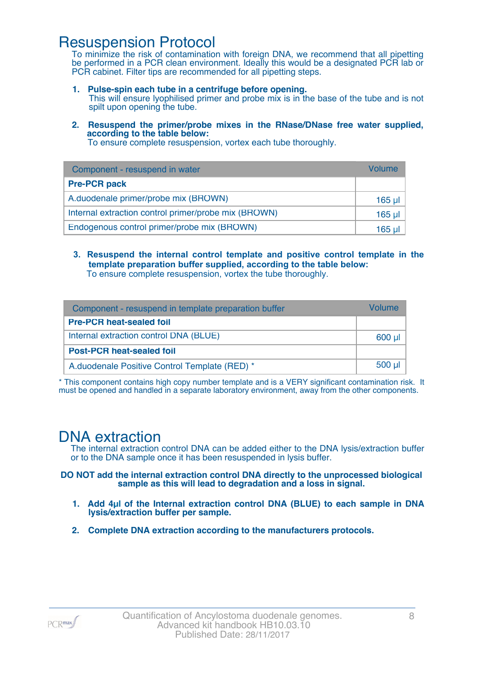### Resuspension Protocol

To minimize the risk of contamination with foreign DNA, we recommend that all pipetting be performed in a PCR clean environment. Ideally this would be a designated PCR lab or PCR cabinet. Filter tips are recommended for all pipetting steps.

- **1. Pulse-spin each tube in a centrifuge before opening.** This will ensure lyophilised primer and probe mix is in the base of the tube and is not spilt upon opening the tube.
- **2. Resuspend the primer/probe mixes in the RNase/DNase free water supplied, according to the table below:**

To ensure complete resuspension, vortex each tube thoroughly.

| Component - resuspend in water                       | Volume  |
|------------------------------------------------------|---------|
| <b>Pre-PCR pack</b>                                  |         |
| A.duodenale primer/probe mix (BROWN)                 | 165 µl  |
| Internal extraction control primer/probe mix (BROWN) | $165$ µ |
| Endogenous control primer/probe mix (BROWN)          | 165 ul  |

**3. Resuspend the internal control template and positive control template in the template preparation buffer supplied, according to the table below:** To ensure complete resuspension, vortex the tube thoroughly.

| Component - resuspend in template preparation buffer |          |  |
|------------------------------------------------------|----------|--|
| <b>Pre-PCR heat-sealed foil</b>                      |          |  |
| Internal extraction control DNA (BLUE)               | 600 µl   |  |
| <b>Post-PCR heat-sealed foil</b>                     |          |  |
| A.duodenale Positive Control Template (RED) *        | $500$ µl |  |

\* This component contains high copy number template and is a VERY significant contamination risk. It must be opened and handled in a separate laboratory environment, away from the other components.

### DNA extraction

The internal extraction control DNA can be added either to the DNA lysis/extraction buffer or to the DNA sample once it has been resuspended in lysis buffer.

**DO NOT add the internal extraction control DNA directly to the unprocessed biological sample as this will lead to degradation and a loss in signal.**

- **1. Add 4µl of the Internal extraction control DNA (BLUE) to each sample in DNA lysis/extraction buffer per sample.**
- **2. Complete DNA extraction according to the manufacturers protocols.**

PCR<sub>max</sub>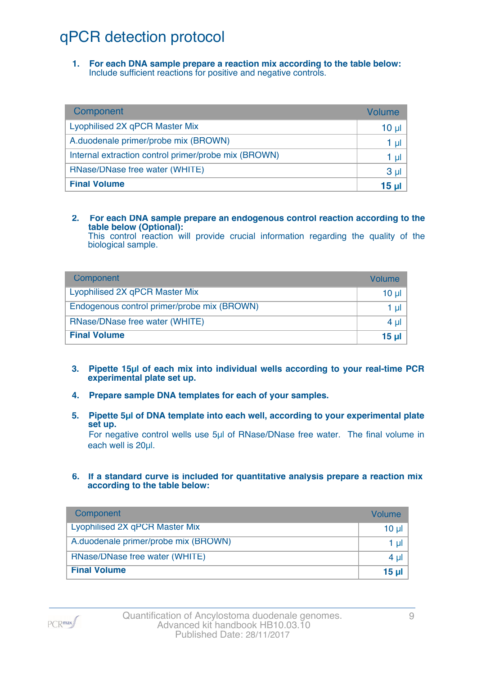## qPCR detection protocol

**1. For each DNA sample prepare a reaction mix according to the table below:** Include sufficient reactions for positive and negative controls.

| Component                                            | Volume          |
|------------------------------------------------------|-----------------|
| Lyophilised 2X qPCR Master Mix                       | 10 <sub>µ</sub> |
| A.duodenale primer/probe mix (BROWN)                 | 1 µl            |
| Internal extraction control primer/probe mix (BROWN) | 1 µl            |
| RNase/DNase free water (WHITE)                       | 3 <sub>µ</sub>  |
| <b>Final Volume</b>                                  | 15 <sub>µ</sub> |

#### **2. For each DNA sample prepare an endogenous control reaction according to the table below (Optional):**

This control reaction will provide crucial information regarding the quality of the biological sample.

| Component                                   | Volume       |
|---------------------------------------------|--------------|
| Lyophilised 2X qPCR Master Mix              | 10 ul        |
| Endogenous control primer/probe mix (BROWN) | 1 ul         |
| RNase/DNase free water (WHITE)              | $4 \mu$      |
| <b>Final Volume</b>                         | <u>15 ul</u> |

- **3. Pipette 15µl of each mix into individual wells according to your real-time PCR experimental plate set up.**
- **4. Prepare sample DNA templates for each of your samples.**
- **5. Pipette 5µl of DNA template into each well, according to your experimental plate set up.**

For negative control wells use 5µl of RNase/DNase free water. The final volume in each well is 20ul.

**6. If a standard curve is included for quantitative analysis prepare a reaction mix according to the table below:**

| Component                            | Volume         |
|--------------------------------------|----------------|
| Lyophilised 2X qPCR Master Mix       | $10 \mu$       |
| A.duodenale primer/probe mix (BROWN) | 1 $\mu$        |
| RNase/DNase free water (WHITE)       | 4 $\mu$        |
| <b>Final Volume</b>                  | $15$ µ $\vert$ |

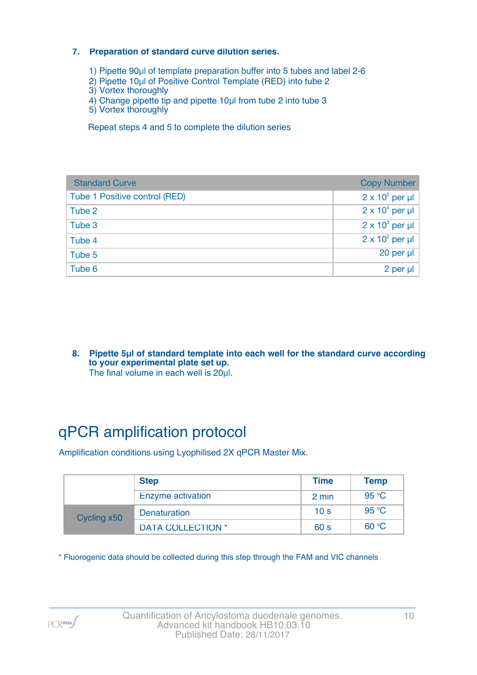#### **7. Preparation of standard curve dilution series.**

- 1) Pipette 90µl of template preparation buffer into 5 tubes and label 2-6
- 2) Pipette 10µl of Positive Control Template (RED) into tube 2
- 3) Vortex thoroughly
- 4) Change pipette tip and pipette 10µl from tube 2 into tube 3
- 5) Vortex thoroughly

Repeat steps 4 and 5 to complete the dilution series

| <b>Standard Curve</b>         | <b>Copy Number</b>     |
|-------------------------------|------------------------|
| Tube 1 Positive control (RED) | $2 \times 10^5$ per µl |
| Tube 2                        | $2 \times 10^4$ per µl |
| Tube 3                        | $2 \times 10^3$ per µl |
| Tube 4                        | $2 \times 10^2$ per µl |
| Tube 5                        | 20 per µl              |
| Tube 6                        | 2 per µl               |

**8. Pipette 5µl of standard template into each well for the standard curve according to your experimental plate set up.** The final volume in each well is 20µl.

# qPCR amplification protocol

Amplification conditions using Lyophilised 2X qPCR Master Mix.

|             | <b>Step</b>              | <b>Time</b>     | <b>Temp</b> |
|-------------|--------------------------|-----------------|-------------|
|             | Enzyme activation        | 2 min           | 95 °C       |
| Cycling x50 | <b>Denaturation</b>      | 10 <sub>s</sub> | 95 °C       |
|             | <b>DATA COLLECTION *</b> | 60 <sub>s</sub> | 60 °C       |

\* Fluorogenic data should be collected during this step through the FAM and VIC channels

PCR<sub>max</sub>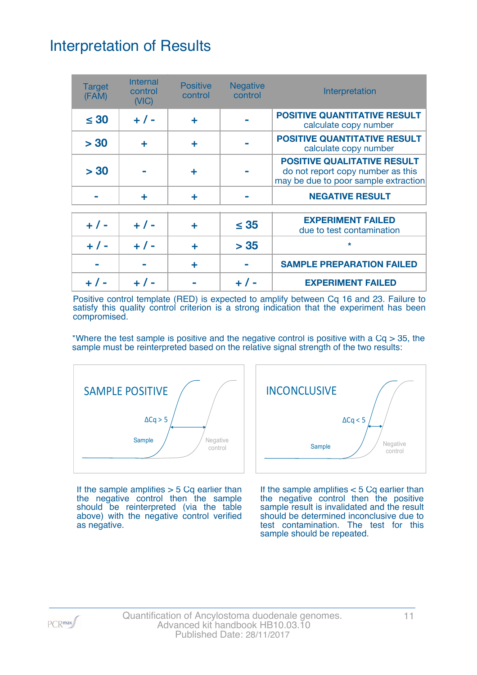## Interpretation of Results

| <b>Target</b><br>(FAM) | <b>Internal</b><br>control<br>(NIC) | <b>Positive</b><br>control | <b>Negative</b><br>control | Interpretation                                                                                                  |
|------------------------|-------------------------------------|----------------------------|----------------------------|-----------------------------------------------------------------------------------------------------------------|
| $\leq 30$              | $+ 1 -$                             | ÷                          |                            | <b>POSITIVE QUANTITATIVE RESULT</b><br>calculate copy number                                                    |
| > 30                   | ÷                                   | ÷                          |                            | <b>POSITIVE QUANTITATIVE RESULT</b><br>calculate copy number                                                    |
| > 30                   |                                     | ٠                          |                            | <b>POSITIVE QUALITATIVE RESULT</b><br>do not report copy number as this<br>may be due to poor sample extraction |
|                        | ÷                                   | ÷                          |                            | <b>NEGATIVE RESULT</b>                                                                                          |
| $+ 1 -$                | $+ 1 -$                             | ٠                          | $\leq$ 35                  | <b>EXPERIMENT FAILED</b><br>due to test contamination                                                           |
| $+ 1 -$                | $+ 1 -$                             | ÷                          | > 35                       | $\star$                                                                                                         |
|                        |                                     | ÷                          |                            | <b>SAMPLE PREPARATION FAILED</b>                                                                                |
|                        |                                     |                            |                            | <b>EXPERIMENT FAILED</b>                                                                                        |

Positive control template (RED) is expected to amplify between Cq 16 and 23. Failure to satisfy this quality control criterion is a strong indication that the experiment has been compromised.

\*Where the test sample is positive and the negative control is positive with a  $Cq > 35$ , the sample must be reinterpreted based on the relative signal strength of the two results:



If the sample amplifies  $> 5$  Cq earlier than the negative control then the sample should be reinterpreted (via the table above) with the negative control verified as negative.



If the sample amplifies < 5 Cq earlier than the negative control then the positive sample result is invalidated and the result should be determined inconclusive due to test contamination. The test for this sample should be repeated.